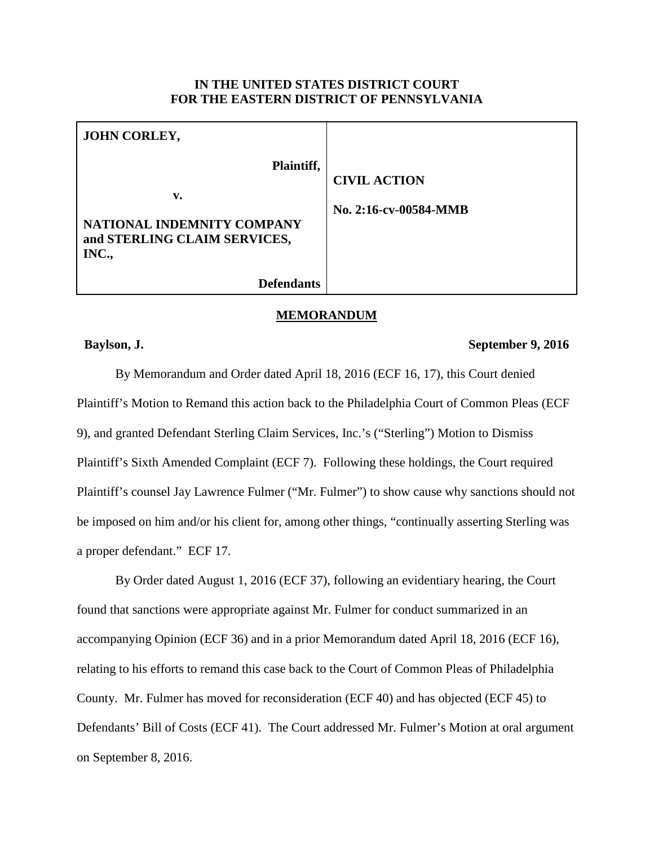## **IN THE UNITED STATES DISTRICT COURT FOR THE EASTERN DISTRICT OF PENNSYLVANIA**

| JOHN CORLEY,                                                                            |                                              |
|-----------------------------------------------------------------------------------------|----------------------------------------------|
| Plaintiff,<br>v.<br>NATIONAL INDEMNITY COMPANY<br>and STERLING CLAIM SERVICES,<br>INC., | <b>CIVIL ACTION</b><br>No. 2:16-cv-00584-MMB |
| <b>Defendants</b>                                                                       |                                              |

#### **MEMORANDUM**

### **Baylson, J. September 9, 2016**

By Memorandum and Order dated April 18, 2016 (ECF 16, 17), this Court denied Plaintiff's Motion to Remand this action back to the Philadelphia Court of Common Pleas (ECF 9), and granted Defendant Sterling Claim Services, Inc.'s ("Sterling") Motion to Dismiss Plaintiff's Sixth Amended Complaint (ECF 7). Following these holdings, the Court required Plaintiff's counsel Jay Lawrence Fulmer ("Mr. Fulmer") to show cause why sanctions should not be imposed on him and/or his client for, among other things, "continually asserting Sterling was a proper defendant." ECF 17.

By Order dated August 1, 2016 (ECF 37), following an evidentiary hearing, the Court found that sanctions were appropriate against Mr. Fulmer for conduct summarized in an accompanying Opinion (ECF 36) and in a prior Memorandum dated April 18, 2016 (ECF 16), relating to his efforts to remand this case back to the Court of Common Pleas of Philadelphia County. Mr. Fulmer has moved for reconsideration (ECF 40) and has objected (ECF 45) to Defendants' Bill of Costs (ECF 41). The Court addressed Mr. Fulmer's Motion at oral argument on September 8, 2016.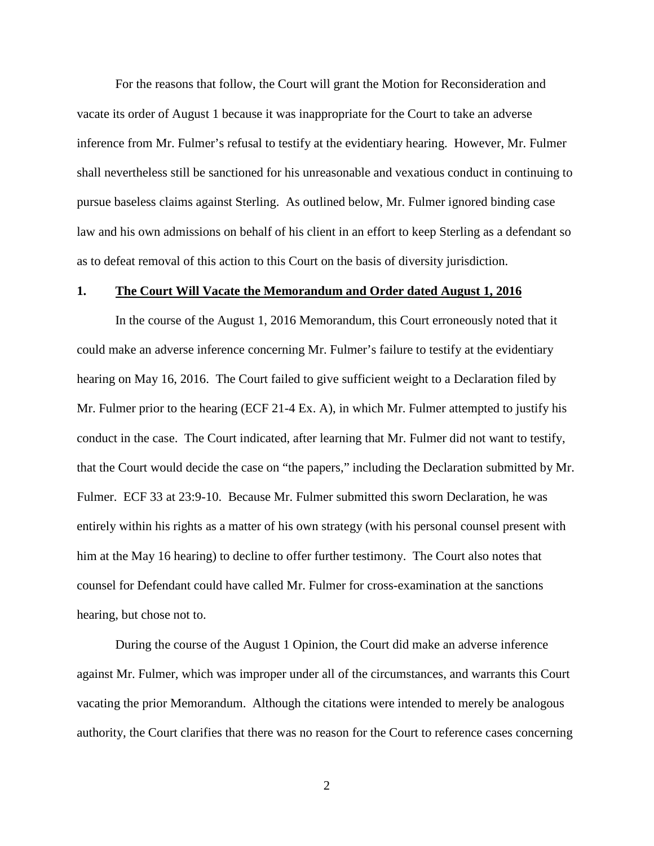For the reasons that follow, the Court will grant the Motion for Reconsideration and vacate its order of August 1 because it was inappropriate for the Court to take an adverse inference from Mr. Fulmer's refusal to testify at the evidentiary hearing. However, Mr. Fulmer shall nevertheless still be sanctioned for his unreasonable and vexatious conduct in continuing to pursue baseless claims against Sterling. As outlined below, Mr. Fulmer ignored binding case law and his own admissions on behalf of his client in an effort to keep Sterling as a defendant so as to defeat removal of this action to this Court on the basis of diversity jurisdiction.

#### **1. The Court Will Vacate the Memorandum and Order dated August 1, 2016**

In the course of the August 1, 2016 Memorandum, this Court erroneously noted that it could make an adverse inference concerning Mr. Fulmer's failure to testify at the evidentiary hearing on May 16, 2016. The Court failed to give sufficient weight to a Declaration filed by Mr. Fulmer prior to the hearing (ECF 21-4 Ex. A), in which Mr. Fulmer attempted to justify his conduct in the case. The Court indicated, after learning that Mr. Fulmer did not want to testify, that the Court would decide the case on "the papers," including the Declaration submitted by Mr. Fulmer. ECF 33 at 23:9-10. Because Mr. Fulmer submitted this sworn Declaration, he was entirely within his rights as a matter of his own strategy (with his personal counsel present with him at the May 16 hearing) to decline to offer further testimony. The Court also notes that counsel for Defendant could have called Mr. Fulmer for cross-examination at the sanctions hearing, but chose not to.

During the course of the August 1 Opinion, the Court did make an adverse inference against Mr. Fulmer, which was improper under all of the circumstances, and warrants this Court vacating the prior Memorandum. Although the citations were intended to merely be analogous authority, the Court clarifies that there was no reason for the Court to reference cases concerning

2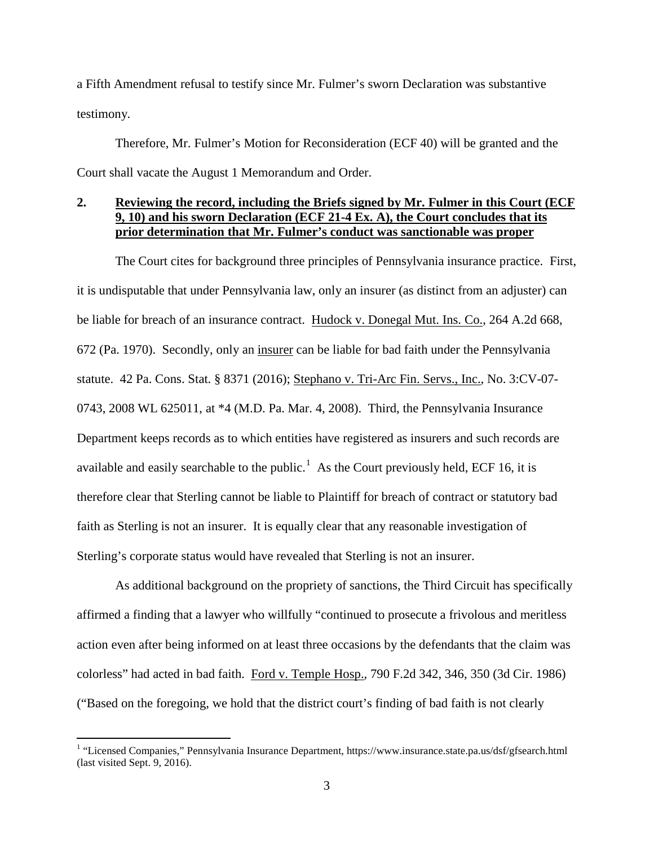a Fifth Amendment refusal to testify since Mr. Fulmer's sworn Declaration was substantive testimony.

Therefore, Mr. Fulmer's Motion for Reconsideration (ECF 40) will be granted and the Court shall vacate the August 1 Memorandum and Order.

# **2. Reviewing the record, including the Briefs signed by Mr. Fulmer in this Court (ECF 9, 10) and his sworn Declaration (ECF 21-4 Ex. A), the Court concludes that its prior determination that Mr. Fulmer's conduct was sanctionable was proper**

The Court cites for background three principles of Pennsylvania insurance practice. First, it is undisputable that under Pennsylvania law, only an insurer (as distinct from an adjuster) can be liable for breach of an insurance contract. Hudock v. Donegal Mut. Ins. Co., 264 A.2d 668, 672 (Pa. 1970). Secondly, only an insurer can be liable for bad faith under the Pennsylvania statute. 42 Pa. Cons. Stat. § 8371 (2016); Stephano v. Tri-Arc Fin. Servs., Inc., No. 3:CV-07- 0743, 2008 WL 625011, at \*4 (M.D. Pa. Mar. 4, 2008). Third, the Pennsylvania Insurance Department keeps records as to which entities have registered as insurers and such records are available and easily searchable to the public.<sup>[1](#page-2-0)</sup> As the Court previously held, ECF 16, it is therefore clear that Sterling cannot be liable to Plaintiff for breach of contract or statutory bad faith as Sterling is not an insurer. It is equally clear that any reasonable investigation of Sterling's corporate status would have revealed that Sterling is not an insurer.

As additional background on the propriety of sanctions, the Third Circuit has specifically affirmed a finding that a lawyer who willfully "continued to prosecute a frivolous and meritless action even after being informed on at least three occasions by the defendants that the claim was colorless" had acted in bad faith. Ford v. Temple Hosp., 790 F.2d 342, 346, 350 (3d Cir. 1986) ("Based on the foregoing, we hold that the district court's finding of bad faith is not clearly

<span id="page-2-0"></span><sup>&</sup>lt;sup>1</sup> "Licensed Companies," Pennsylvania Insurance Department, https://www.insurance.state.pa.us/dsf/gfsearch.html (last visited Sept. 9, 2016).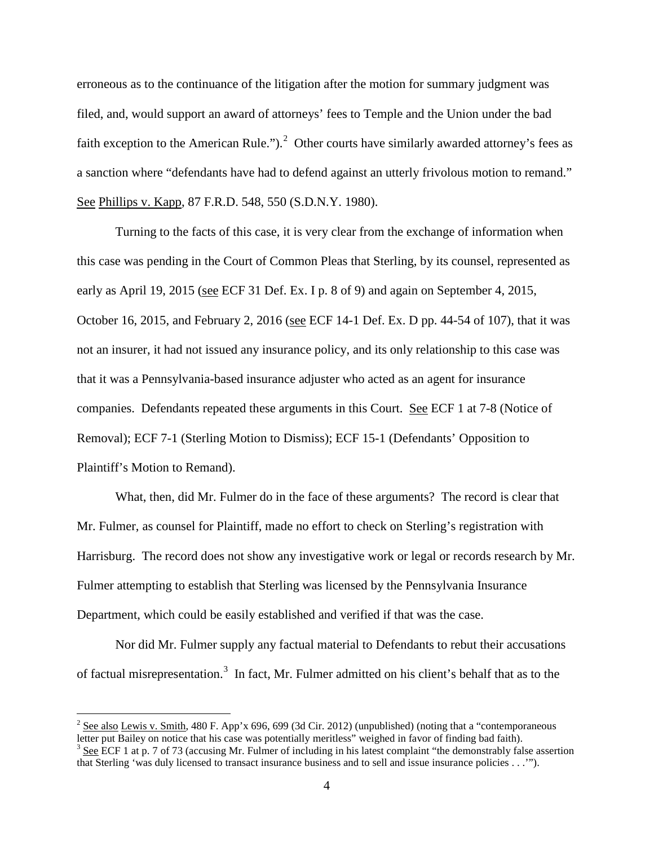erroneous as to the continuance of the litigation after the motion for summary judgment was filed, and, would support an award of attorneys' fees to Temple and the Union under the bad faith exception to the American Rule.").<sup>[2](#page-3-0)</sup> Other courts have similarly awarded attorney's fees as a sanction where "defendants have had to defend against an utterly frivolous motion to remand." See Phillips v. Kapp, 87 F.R.D. 548, 550 (S.D.N.Y. 1980).

Turning to the facts of this case, it is very clear from the exchange of information when this case was pending in the Court of Common Pleas that Sterling, by its counsel, represented as early as April 19, 2015 (see ECF 31 Def. Ex. I p. 8 of 9) and again on September 4, 2015, October 16, 2015, and February 2, 2016 (see ECF 14-1 Def. Ex. D pp. 44-54 of 107), that it was not an insurer, it had not issued any insurance policy, and its only relationship to this case was that it was a Pennsylvania-based insurance adjuster who acted as an agent for insurance companies. Defendants repeated these arguments in this Court. See ECF 1 at 7-8 (Notice of Removal); ECF 7-1 (Sterling Motion to Dismiss); ECF 15-1 (Defendants' Opposition to Plaintiff's Motion to Remand).

What, then, did Mr. Fulmer do in the face of these arguments? The record is clear that Mr. Fulmer, as counsel for Plaintiff, made no effort to check on Sterling's registration with Harrisburg. The record does not show any investigative work or legal or records research by Mr. Fulmer attempting to establish that Sterling was licensed by the Pennsylvania Insurance Department, which could be easily established and verified if that was the case.

Nor did Mr. Fulmer supply any factual material to Defendants to rebut their accusations of factual misrepresentation.<sup>[3](#page-3-1)</sup> In fact, Mr. Fulmer admitted on his client's behalf that as to the

<span id="page-3-0"></span><sup>&</sup>lt;sup>2</sup> <u>See also Lewis v. Smith</u>, 480 F. App'x 696, 699 (3d Cir. 2012) (unpublished) (noting that a "contemporaneous letter put Bailey on notice that his case was potentially meritless" weighed in favor of finding bad faith)

<span id="page-3-1"></span> $3$  See ECF 1 at p. 7 of 73 (accusing Mr. Fulmer of including in his latest complaint "the demonstrably false assertion that Sterling 'was duly licensed to transact insurance business and to sell and issue insurance policies . . .'").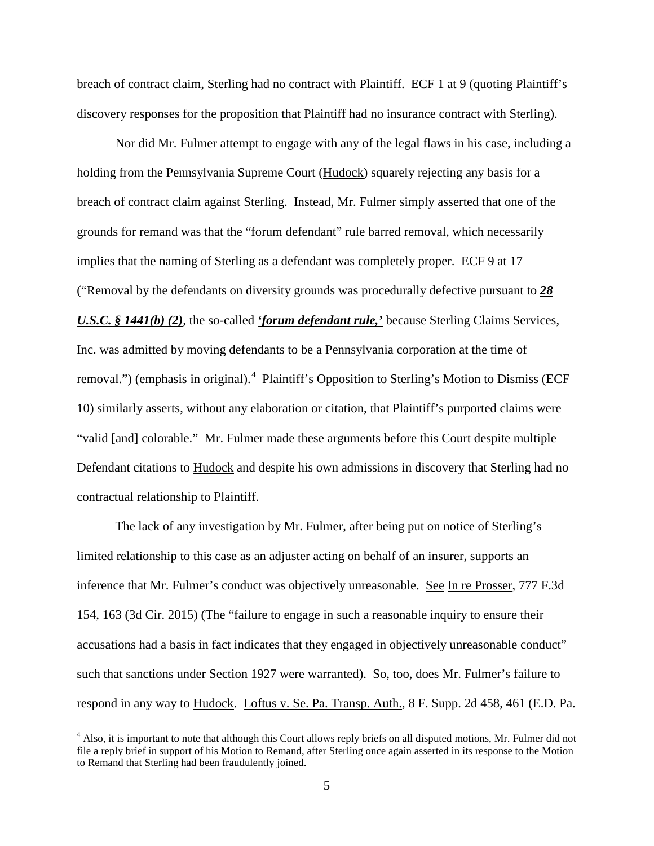breach of contract claim, Sterling had no contract with Plaintiff. ECF 1 at 9 (quoting Plaintiff's discovery responses for the proposition that Plaintiff had no insurance contract with Sterling).

Nor did Mr. Fulmer attempt to engage with any of the legal flaws in his case, including a holding from the Pennsylvania Supreme Court (Hudock) squarely rejecting any basis for a breach of contract claim against Sterling. Instead, Mr. Fulmer simply asserted that one of the grounds for remand was that the "forum defendant" rule barred removal, which necessarily implies that the naming of Sterling as a defendant was completely proper. ECF 9 at 17 ("Removal by the defendants on diversity grounds was procedurally defective pursuant to *28 U.S.C. § 1441(b) (2),* the so-called *'forum defendant rule,'* because Sterling Claims Services, Inc. was admitted by moving defendants to be a Pennsylvania corporation at the time of removal.") (emphasis in original).<sup>[4](#page-4-0)</sup> Plaintiff's Opposition to Sterling's Motion to Dismiss (ECF 10) similarly asserts, without any elaboration or citation, that Plaintiff's purported claims were "valid [and] colorable." Mr. Fulmer made these arguments before this Court despite multiple Defendant citations to Hudock and despite his own admissions in discovery that Sterling had no contractual relationship to Plaintiff.

The lack of any investigation by Mr. Fulmer, after being put on notice of Sterling's limited relationship to this case as an adjuster acting on behalf of an insurer, supports an inference that Mr. Fulmer's conduct was objectively unreasonable. See In re Prosser, 777 F.3d 154, 163 (3d Cir. 2015) (The "failure to engage in such a reasonable inquiry to ensure their accusations had a basis in fact indicates that they engaged in objectively unreasonable conduct" such that sanctions under Section 1927 were warranted). So, too, does Mr. Fulmer's failure to respond in any way to Hudock. Loftus v. Se. Pa. Transp. Auth., 8 F. Supp. 2d 458, 461 (E.D. Pa.

<span id="page-4-0"></span><sup>&</sup>lt;sup>4</sup> Also, it is important to note that although this Court allows reply briefs on all disputed motions, Mr. Fulmer did not file a reply brief in support of his Motion to Remand, after Sterling once again asserted in its response to the Motion to Remand that Sterling had been fraudulently joined.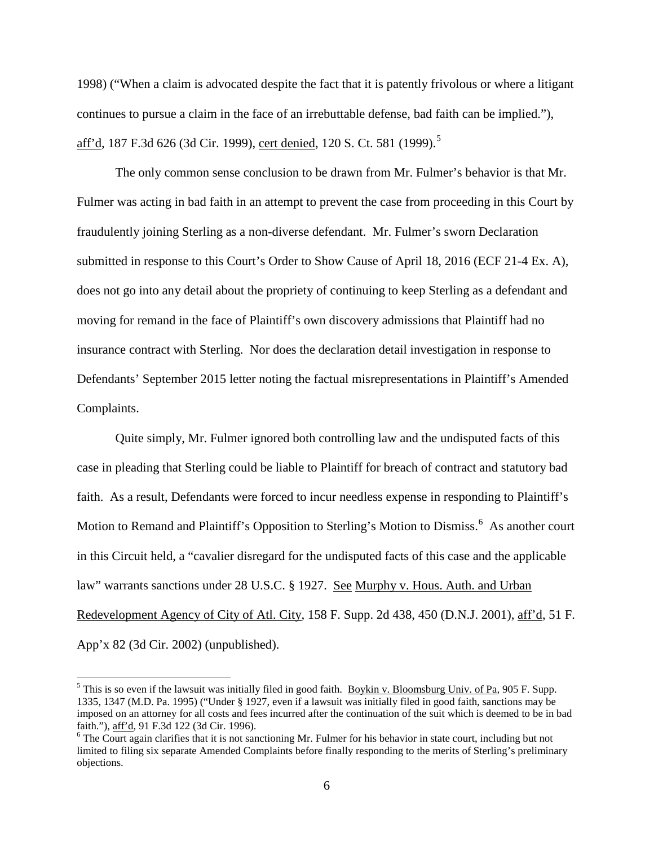1998) ("When a claim is advocated despite the fact that it is patently frivolous or where a litigant continues to pursue a claim in the face of an irrebuttable defense, bad faith can be implied."), <u>aff'd,</u> 187 F.3d 626 (3d Cir. 1999), <u>cert denied</u>, 120 S. Ct. [5](#page-5-0)81 (1999).<sup>5</sup>

The only common sense conclusion to be drawn from Mr. Fulmer's behavior is that Mr. Fulmer was acting in bad faith in an attempt to prevent the case from proceeding in this Court by fraudulently joining Sterling as a non-diverse defendant. Mr. Fulmer's sworn Declaration submitted in response to this Court's Order to Show Cause of April 18, 2016 (ECF 21-4 Ex. A), does not go into any detail about the propriety of continuing to keep Sterling as a defendant and moving for remand in the face of Plaintiff's own discovery admissions that Plaintiff had no insurance contract with Sterling. Nor does the declaration detail investigation in response to Defendants' September 2015 letter noting the factual misrepresentations in Plaintiff's Amended Complaints.

Quite simply, Mr. Fulmer ignored both controlling law and the undisputed facts of this case in pleading that Sterling could be liable to Plaintiff for breach of contract and statutory bad faith. As a result, Defendants were forced to incur needless expense in responding to Plaintiff's Motion to Remand and Plaintiff's Opposition to Sterling's Motion to Dismiss.<sup>[6](#page-5-1)</sup> As another court in this Circuit held, a "cavalier disregard for the undisputed facts of this case and the applicable law" warrants sanctions under 28 U.S.C. § 1927. See Murphy v. Hous. Auth. and Urban Redevelopment Agency of City of Atl. City, 158 F. Supp. 2d 438, 450 (D.N.J. 2001), aff'd, 51 F. App'x 82 (3d Cir. 2002) (unpublished).

<span id="page-5-0"></span> $<sup>5</sup>$  This is so even if the lawsuit was initially filed in good faith. Boykin v. Bloomsburg Univ. of Pa, 905 F. Supp.</sup> 1335, 1347 (M.D. Pa. 1995) ("Under § 1927, even if a lawsuit was initially filed in good faith, sanctions may be imposed on an attorney for all costs and fees incurred after the continuation of the suit which is deemed to be in bad faith."), aff'd, 91 F.3d 122 (3d Cir. 1996).

<span id="page-5-1"></span> $6$  The Court again clarifies that it is not sanctioning Mr. Fulmer for his behavior in state court, including but not limited to filing six separate Amended Complaints before finally responding to the merits of Sterling's preliminary objections.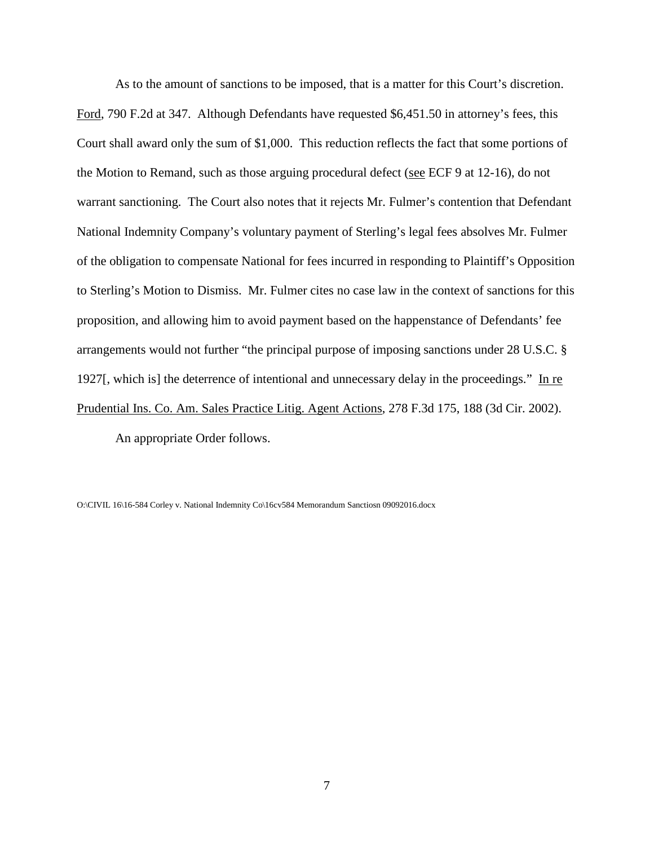As to the amount of sanctions to be imposed, that is a matter for this Court's discretion. Ford, 790 F.2d at 347. Although Defendants have requested \$6,451.50 in attorney's fees, this Court shall award only the sum of \$1,000. This reduction reflects the fact that some portions of the Motion to Remand, such as those arguing procedural defect (see ECF 9 at 12-16), do not warrant sanctioning. The Court also notes that it rejects Mr. Fulmer's contention that Defendant National Indemnity Company's voluntary payment of Sterling's legal fees absolves Mr. Fulmer of the obligation to compensate National for fees incurred in responding to Plaintiff's Opposition to Sterling's Motion to Dismiss. Mr. Fulmer cites no case law in the context of sanctions for this proposition, and allowing him to avoid payment based on the happenstance of Defendants' fee arrangements would not further "the principal purpose of imposing sanctions under 28 U.S.C. § 1927[, which is] the deterrence of intentional and unnecessary delay in the proceedings." In re Prudential Ins. Co. Am. Sales Practice Litig. Agent Actions, 278 F.3d 175, 188 (3d Cir. 2002).

An appropriate Order follows.

O:\CIVIL 16\16-584 Corley v. National Indemnity Co\16cv584 Memorandum Sanctiosn 09092016.docx